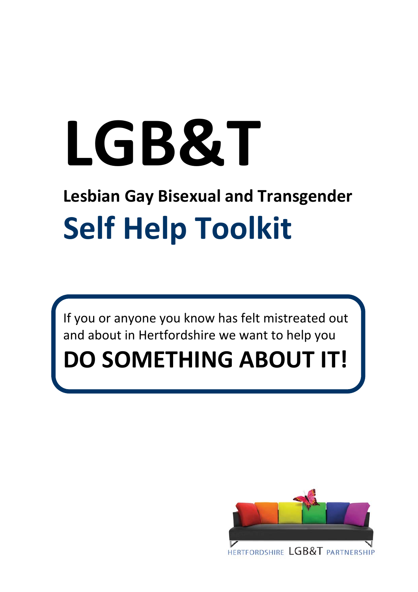# **LGB&T**

# **Lesbian Gay Bisexual and Transgender Self Help Toolkit**

If you or anyone you know has felt mistreated out and about in Hertfordshire we want to help you

# **DO SOMETHING ABOUT IT!**

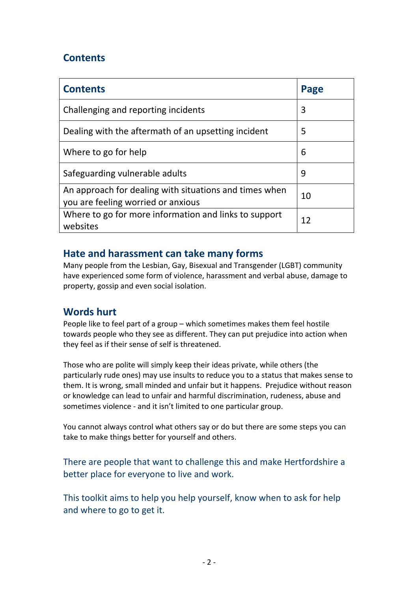# **Contents**

| <b>Contents</b>                                                                              | Page |
|----------------------------------------------------------------------------------------------|------|
| Challenging and reporting incidents                                                          | 3    |
| Dealing with the aftermath of an upsetting incident                                          | 5    |
| Where to go for help                                                                         | 6    |
| Safeguarding vulnerable adults                                                               | 9    |
| An approach for dealing with situations and times when<br>you are feeling worried or anxious | 10   |
| Where to go for more information and links to support<br>websites                            | 12   |

# **Hate and harassment can take many forms**

Many people from the Lesbian, Gay, Bisexual and Transgender (LGBT) community have experienced some form of violence, harassment and verbal abuse, damage to property, gossip and even social isolation.

# **Words hurt**

People like to feel part of a group – which sometimes makes them feel hostile towards people who they see as different. They can put prejudice into action when they feel as if their sense of self is threatened.

Those who are polite will simply keep their ideas private, while others (the particularly rude ones) may use insults to reduce you to a status that makes sense to them. It is wrong, small minded and unfair but it happens. Prejudice without reason or knowledge can lead to unfair and harmful discrimination, rudeness, abuse and sometimes violence - and it isn't limited to one particular group.

You cannot always control what others say or do but there are some steps you can take to make things better for yourself and others.

There are people that want to challenge this and make Hertfordshire a better place for everyone to live and work.

This toolkit aims to help you help yourself, know when to ask for help and where to go to get it.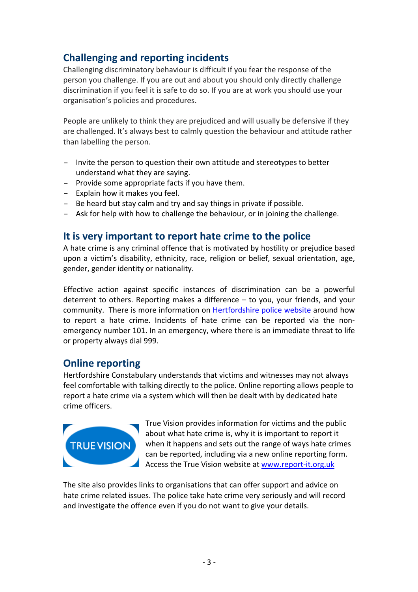# **Challenging and reporting incidents**

Challenging discriminatory behaviour is difficult if you fear the response of the person you challenge. If you are out and about you should only directly challenge discrimination if you feel it is safe to do so. If you are at work you should use your organisation's policies and procedures.

People are unlikely to think they are prejudiced and will usually be defensive if they are challenged. It's always best to calmly question the behaviour and attitude rather than labelling the person.

- Invite the person to question their own attitude and stereotypes to better understand what they are saying.
- Provide some appropriate facts if you have them.
- Explain how it makes you feel.
- Be heard but stay calm and try and say things in private if possible.
- Ask for help with how to challenge the behaviour, or in joining the challenge.

## **It is very important to report hate crime to the police**

A hate crime is any criminal offence that is motivated by hostility or prejudice based upon a victim's disability, ethnicity, race, religion or belief, sexual orientation, age, gender, gender identity or nationality.

Effective action against specific instances of discrimination can be a powerful deterrent to others. Reporting makes a difference – to you, your friends, and your community. There is more information on **[Hertfordshire](http://www.herts.police.uk/advice/hate_crime.aspx) police website** around how to report a hate crime. Incidents of hate crime can be reported via the non‐ emergency number 101. In an emergency, where there is an immediate threat to life or property always dial 999.

## **Online reporting**

Hertfordshire Constabulary understands that victims and witnesses may not always feel comfortable with talking directly to the police. Online reporting allows people to report a hate crime via a system which will then be dealt with by dedicated hate crime officers.



True Vision provides information for victims and the public about what hate crime is, why it is important to report it when it happens and sets out the range of ways hate crimes can be reported, including via a new online reporting form. Access the True Vision website at [www.report](http://www.report-it.org.uk/)‐it.org.uk

The site also provides links to organisations that can offer support and advice on hate crime related issues. The police take hate crime very seriously and will record and investigate the offence even if you do not want to give your details.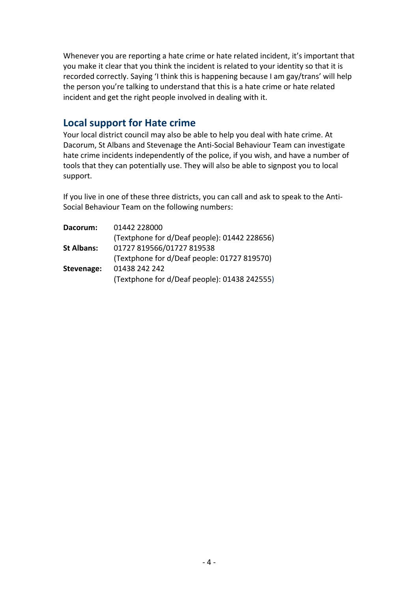Whenever you are reporting a hate crime or hate related incident, it's important that you make it clear that you think the incident is related to your identity so that it is recorded correctly. Saying 'I think this is happening because I am gay/trans' will help the person you're talking to understand that this is a hate crime or hate related incident and get the right people involved in dealing with it.

### **Local support for Hate crime**

Your local district council may also be able to help you deal with hate crime. At Dacorum, St Albans and Stevenage the Anti‐Social Behaviour Team can investigate hate crime incidents independently of the police, if you wish, and have a number of tools that they can potentially use. They will also be able to signpost you to local support.

If you live in one of these three districts, you can call and ask to speak to the Anti‐ Social Behaviour Team on the following numbers:

| Dacorum:          | 01442 228000                                 |
|-------------------|----------------------------------------------|
|                   | (Textphone for d/Deaf people): 01442 228656) |
| <b>St Albans:</b> | 01727 819566/01727 819538                    |
|                   | (Textphone for d/Deaf people: 01727 819570)  |
| Stevenage:        | 01438 242 242                                |
|                   | (Textphone for d/Deaf people): 01438 242555) |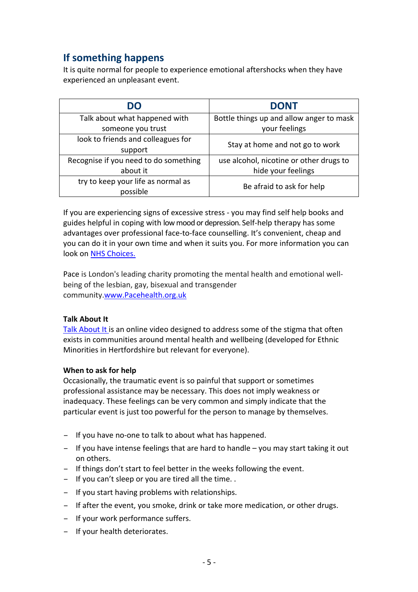# **If something happens**

It is quite normal for people to experience emotional aftershocks when they have experienced an unpleasant event.

| DO                                    | <b>DONT</b>                              |  |
|---------------------------------------|------------------------------------------|--|
| Talk about what happened with         | Bottle things up and allow anger to mask |  |
| someone you trust                     | your feelings                            |  |
| look to friends and colleagues for    | Stay at home and not go to work          |  |
| support                               |                                          |  |
| Recognise if you need to do something | use alcohol, nicotine or other drugs to  |  |
| about it                              | hide your feelings                       |  |
| try to keep your life as normal as    | Be afraid to ask for help                |  |
| possible                              |                                          |  |

If you are experiencing signs of excessive stress ‐ you may find self help books and guides helpful in coping with lowmood or depression. Self‐help therapy has some advantages over professional face‐to‐face counselling. It's convenient, cheap and you can do it in your own time and when it suits you. For more information you can look on NHS [Choices.](http://www.nhs.uk/Livewell/counselling/Pages/selfhelptherapy.aspx)

Pace is London's leading charity promoting the mental health and emotional wellbeing of the lesbian, gay, bisexual and transgender community[.www.Pacehealth.org.uk](http://www.pacehealth.org.uk/)

#### **Talk About It**

Talk [About](http://www.hertspartsft.nhs.uk/talkaboutit) It is an online video designed to address some of the stigma that often exists in communities around mental health and wellbeing (developed for Ethnic Minorities in Hertfordshire but relevant for everyone).

#### **When to ask for help**

Occasionally, the traumatic event is so painful that support or sometimes professional assistance may be necessary. This does not imply weakness or inadequacy. These feelings can be very common and simply indicate that the particular event is just too powerful for the person to manage by themselves.

- If you have no‐one to talk to about what has happened.
- If you have intense feelings that are hard to handle you may start taking it out on others.
- If things don't start to feel better in the weeks following the event.
- If you can't sleep or you are tired all the time. .
- If you start having problems with relationships.
- If after the event, you smoke, drink or take more medication, or other drugs.
- If your work performance suffers.
- If your health deteriorates.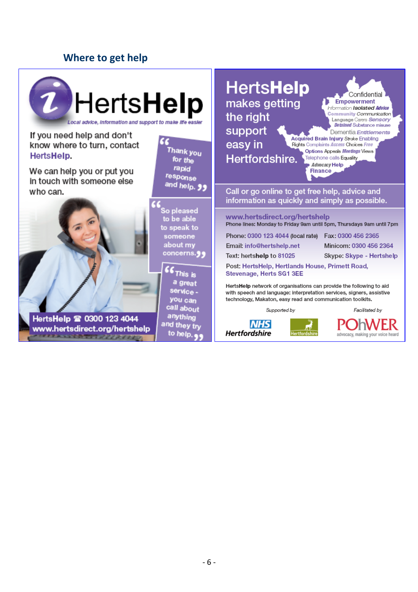# **Where to get help**

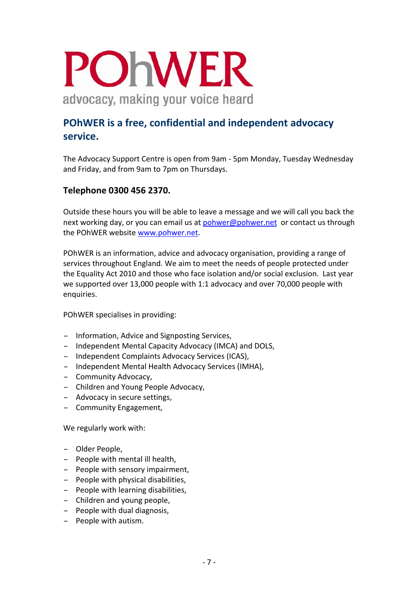# POHWER advocacy, making your voice heard

# **POhWER is a free, confidential and independent advocacy service.**

The Advocacy Support Centre is open from 9am ‐ 5pm Monday, Tuesday Wednesday and Friday, and from 9am to 7pm on Thursdays.

#### **Telephone 0300 456 2370.**

Outside these hours you will be able to leave a message and we will call you back the next working day, or you can email us at [pohwer@pohwer.net](mailto:pohwer@pohwer.net) or contact us through the POhWER website [www.pohwer.net](http://www.pohwer.net/).

POhWER is an information, advice and advocacy organisation, providing a range of services throughout England. We aim to meet the needs of people protected under the Equality Act 2010 and those who face isolation and/or social exclusion. Last year we supported over 13,000 people with 1:1 advocacy and over 70,000 people with enquiries.

POhWER specialises in providing:

- Information, Advice and Signposting Services,
- Independent Mental Capacity Advocacy (IMCA) and DOLS,
- Independent Complaints Advocacy Services (ICAS),
- Independent Mental Health Advocacy Services (IMHA),
- Community Advocacy,
- Children and Young People Advocacy,
- Advocacy in secure settings,
- Community Engagement,

We regularly work with:

- Older People,
- People with mental ill health,
- People with sensory impairment,
- People with physical disabilities,
- People with learning disabilities,
- Children and young people,
- People with dual diagnosis,
- People with autism.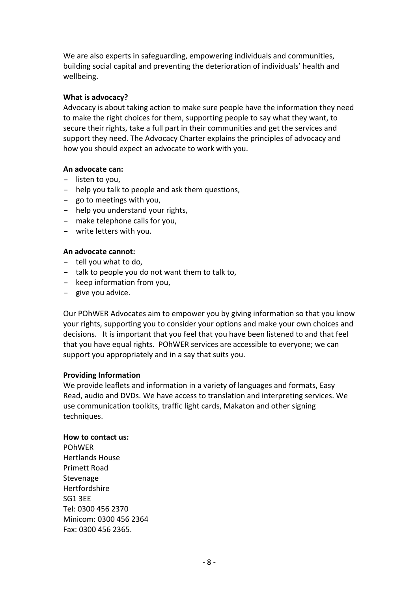We are also experts in safeguarding, empowering individuals and communities, building social capital and preventing the deterioration of individuals' health and wellbeing.

#### **What is advocacy?**

Advocacy is about taking action to make sure people have the information they need to make the right choices for them, supporting people to say what they want, to secure their rights, take a full part in their communities and get the services and support they need. The Advocacy Charter explains the principles of advocacy and how you should expect an advocate to work with you.

#### **An advocate can:**

- listen to you,
- help you talk to people and ask them questions,
- go to meetings with you,
- help you understand your rights,
- make telephone calls for you,
- write letters with you.

#### **An advocate cannot:**

- tell you what to do,
- talk to people you do not want them to talk to,
- keep information from you,
- give you advice.

Our POhWER Advocates aim to empower you by giving information so that you know your rights, supporting you to consider your options and make your own choices and decisions. It is important that you feel that you have been listened to and that feel that you have equal rights. POhWER services are accessible to everyone; we can support you appropriately and in a say that suits you.

#### **Providing Information**

We provide leaflets and information in a variety of languages and formats, Easy Read, audio and DVDs. We have access to translation and interpreting services. We use communication toolkits, traffic light cards, Makaton and other signing techniques.

#### **How to contact us:**

POhWER Hertlands House Primett Road Stevenage Hertfordshire SG1 3EE Tel: 0300 456 2370 Minicom: 0300 456 2364 Fax: 0300 456 2365.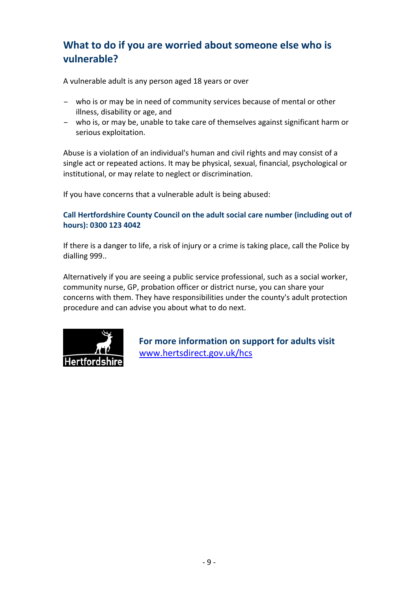# **What to do if you are worried about someone else who is vulnerable?**

A vulnerable adult is any person aged 18 years or over

- who is or may be in need of community services because of mental or other illness, disability or age, and
- who is, or may be, unable to take care of themselves against significant harm or serious exploitation.

Abuse is a violation of an individual's human and civil rights and may consist of a single act or repeated actions. It may be physical, sexual, financial, psychological or institutional, or may relate to neglect or discrimination.

If you have concerns that a vulnerable adult is being abused:

#### **Call Hertfordshire County Council on the adult social care number (including out of hours): 0300 123 4042**

If there is a danger to life, a risk of injury or a crime is taking place, call the Police by dialling 999..

Alternatively if you are seeing a public service professional, such as a social worker, community nurse, GP, probation officer or district nurse, you can share your concerns with them. They have responsibilities under the county's adult protection procedure and can advise you about what to do next.



**For more information on support for adults visit** [www.hertsdirect.gov.uk/hcs](http://www.hertsdirect.gov.uk/hcs)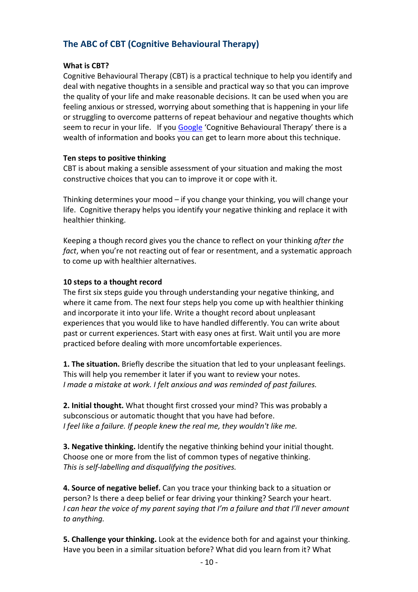### **The ABC of CBT (Cognitive Behavioural Therapy)**

#### **What is CBT?**

Cognitive Behavioural Therapy (CBT) is a practical technique to help you identify and deal with negative thoughts in a sensible and practical way so that you can improve the quality of your life and make reasonable decisions. It can be used when you are feeling anxious or stressed, worrying about something that is happening in your life or struggling to overcome patterns of repeat behaviour and negative thoughts which seem to recur in your life. If you [Google](http://www.google.co.uk/#hl=en&site=&source=hp&q=cognitive+behavioural+therapy&oq=cog&aq=1&aqi=g10&aql=&gs_l=hp.1.1.0l10.1406.3203.0.5578.3.3.0.0.0.0.266.563.1j0j2.3.0...0.0.L8c_ob8z2yU&bav=on.2,or.r_gc.r_pw.,cf.osb&fp=c9866d372148c025&biw=1280&bih=584) 'Cognitive Behavioural Therapy' there is a wealth of information and books you can get to learn more about this technique.

#### **Ten steps to positive thinking**

CBT is about making a sensible assessment of your situation and making the most constructive choices that you can to improve it or cope with it.

Thinking determines your mood – if you change your thinking, you will change your life. Cognitive therapy helps you identify your negative thinking and replace it with healthier thinking.

Keeping a though record gives you the chance to reflect on your thinking *after the fact*, when you're not reacting out of fear or resentment, and a systematic approach to come up with healthier alternatives.

#### **10 steps to a thought record**

The first six steps guide you through understanding your negative thinking, and where it came from. The next four steps help you come up with healthier thinking and incorporate it into your life. Write a thought record about unpleasant experiences that you would like to have handled differently. You can write about past or current experiences. Start with easy ones at first. Wait until you are more practiced before dealing with more uncomfortable experiences.

**1. The situation.** Briefly describe the situation that led to your unpleasant feelings. This will help you remember it later if you want to review your notes. *I made a mistake at work. I felt anxious and was reminded of past failures.*

**2. Initial thought.** What thought first crossed your mind? This was probably a subconscious or automatic thought that you have had before. *I feel like a failure. If people knew the real me, they wouldn't like me.*

**3. Negative thinking.** Identify the negative thinking behind your initial thought. Choose one or more from the list of common types of negative thinking. *This is self‐labelling and disqualifying the positives.*

**4. Source of negative belief.** Can you trace your thinking back to a situation or person? Is there a deep belief or fear driving your thinking? Search your heart. *I can hear the voice of my parent saying that I'm a failure and that I'll never amount to anything.*

**5. Challenge your thinking.** Look at the evidence both for and against your thinking. Have you been in a similar situation before? What did you learn from it? What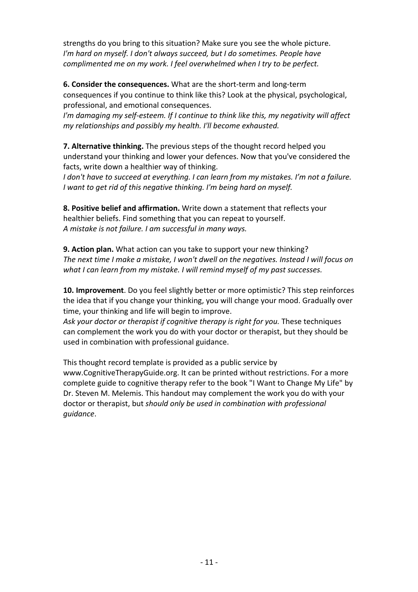strengths do you bring to this situation? Make sure you see the whole picture. *I'm hard on myself. I don't always succeed, but I do sometimes. People have complimented me on my work. I feel overwhelmed when I try to be perfect.*

**6. Consider the consequences.** What are the short‐term and long‐term consequences if you continue to think like this? Look at the physical, psychological, professional, and emotional consequences.

*I'm damaging my self‐esteem. If I continue to think like this, my negativity will affect my relationships and possibly my health. I'll become exhausted.*

**7. Alternative thinking.** The previous steps of the thought record helped you understand your thinking and lower your defences. Now that you've considered the facts, write down a healthier way of thinking.

*I don't have to succeed at everything. I can learn from my mistakes. I'm not a failure. I want to get rid of this negative thinking. I'm being hard on myself.*

**8. Positive belief and affirmation.** Write down a statement that reflects your healthier beliefs. Find something that you can repeat to yourself. *A mistake is not failure. I am successful in many ways.*

**9. Action plan.** What action can you take to support your new thinking? *The next time I make a mistake, I won't dwell on the negatives. Instead I will focus on what I can learn from my mistake. I will remind myself of my past successes.*

**10. Improvement**. Do you feel slightly better or more optimistic? This step reinforces the idea that if you change your thinking, you will change your mood. Gradually over time, your thinking and life will begin to improve.

*Ask your doctor or therapist if cognitive therapy is right for you.* These techniques can complement the work you do with your doctor or therapist, but they should be used in combination with professional guidance.

This thought record template is provided as a public service by www.CognitiveTherapyGuide.org. It can be printed without restrictions. For a more complete guide to cognitive therapy refer to the book "I Want to Change My Life" by Dr. Steven M. Melemis. This handout may complement the work you do with your doctor or therapist, but *should only be used in combination with professional guidance*.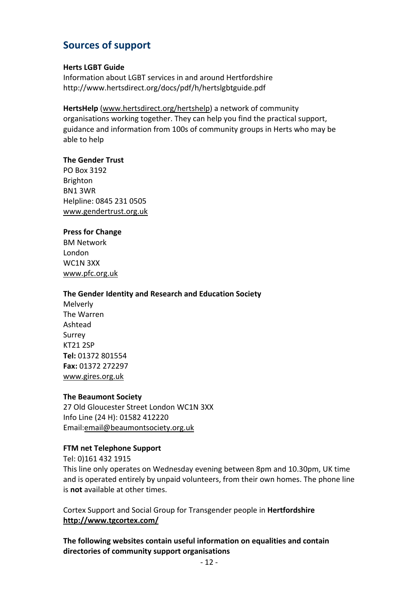# **Sources of support**

#### **Herts LGBT Guide**

Information about LGBT services in and around Hertfordshire http://www.hertsdirect.org/docs/pdf/h/hertslgbtguide.pdf

#### **HertsHelp** [\(www.hertsdirect.org/hertshelp\)](http://www.hertsdirect.org/hertshelp) a network of community organisations working together. They can help you find the practical support, guidance and information from 100s of community groups in Herts who may be able to help

#### **The Gender Trust**

PO Box 3192 Brighton BN1 3WR Helpline: 0845 231 0505 [www.gendertrust.org.uk](http://www.gendertrust.org.uk/)

#### **Press for Change**

BM Network London WC1N 3XX [www.pfc.org.uk](http://www.pfc.org.uk/)

#### **The Gender Identity and Research and Education Society**

Melverly The Warren Ashtead Surrey KT21 2SP **Tel:** 01372 801554 **Fax:** 01372 272297 [www.gires.org.uk](http://www.gires.org.uk/)

#### **The Beaumont Society**

27 Old Gloucester Street London WC1N 3XX Info Line (24 H): 01582 412220 Email:[email@beaumontsociety.org.uk](mailto:email@beaumontsociety.org.uk)

#### **FTM net Telephone Support**

Tel: 0)161 432 1915 This line only operates on Wednesday evening between 8pm and 10.30pm, UK time and is operated entirely by unpaid volunteers, from their own homes. The phone line is **not** available at other times.

Cortex Support and Social Group for Transgender people in **Hertfordshire <http://www.tgcortex.com/>**

**The following websites contain useful information on equalities and contain directories of community support organisations**